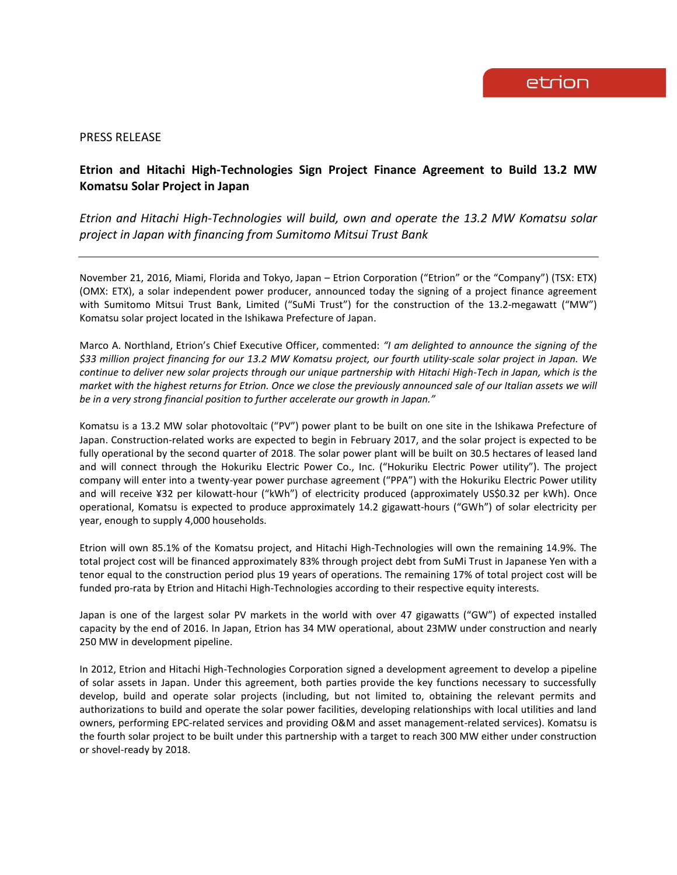

## PRESS RELEASE

# **Etrion and Hitachi High-Technologies Sign Project Finance Agreement to Build 13.2 MW Komatsu Solar Project in Japan**

*Etrion and Hitachi High-Technologies will build, own and operate the 13.2 MW Komatsu solar project in Japan with financing from Sumitomo Mitsui Trust Bank*

November 21, 2016, Miami, Florida and Tokyo, Japan – Etrion Corporation ("Etrion" or the "Company") (TSX: ETX) (OMX: ETX), a solar independent power producer, announced today the signing of a project finance agreement with Sumitomo Mitsui Trust Bank, Limited ("SuMi Trust") for the construction of the 13.2-megawatt ("MW") Komatsu solar project located in the Ishikawa Prefecture of Japan.

Marco A. Northland, Etrion's Chief Executive Officer, commented: *"I am delighted to announce the signing of the \$33 million project financing for our 13.2 MW Komatsu project, our fourth utility-scale solar project in Japan. We continue to deliver new solar projects through our unique partnership with Hitachi High-Tech in Japan, which is the market with the highest returns for Etrion. Once we close the previously announced sale of our Italian assets we will be in a very strong financial position to further accelerate our growth in Japan."*

Komatsu is a 13.2 MW solar photovoltaic ("PV") power plant to be built on one site in the Ishikawa Prefecture of Japan. Construction-related works are expected to begin in February 2017, and the solar project is expected to be fully operational by the second quarter of 2018. The solar power plant will be built on 30.5 hectares of leased land and will connect through the Hokuriku Electric Power Co., Inc. ("Hokuriku Electric Power utility"). The project company will enter into a twenty-year power purchase agreement ("PPA") with the Hokuriku Electric Power utility and will receive ¥32 per kilowatt-hour ("kWh") of electricity produced (approximately US\$0.32 per kWh). Once operational, Komatsu is expected to produce approximately 14.2 gigawatt-hours ("GWh") of solar electricity per year, enough to supply 4,000 households.

Etrion will own 85.1% of the Komatsu project, and Hitachi High-Technologies will own the remaining 14.9%. The total project cost will be financed approximately 83% through project debt from SuMi Trust in Japanese Yen with a tenor equal to the construction period plus 19 years of operations. The remaining 17% of total project cost will be funded pro-rata by Etrion and Hitachi High-Technologies according to their respective equity interests.

Japan is one of the largest solar PV markets in the world with over 47 gigawatts ("GW") of expected installed capacity by the end of 2016. In Japan, Etrion has 34 MW operational, about 23MW under construction and nearly 250 MW in development pipeline.

In 2012, Etrion and Hitachi High-Technologies Corporation signed a development agreement to develop a pipeline of solar assets in Japan. Under this agreement, both parties provide the key functions necessary to successfully develop, build and operate solar projects (including, but not limited to, obtaining the relevant permits and authorizations to build and operate the solar power facilities, developing relationships with local utilities and land owners, performing EPC-related services and providing O&M and asset management-related services). Komatsu is the fourth solar project to be built under this partnership with a target to reach 300 MW either under construction or shovel-ready by 2018.